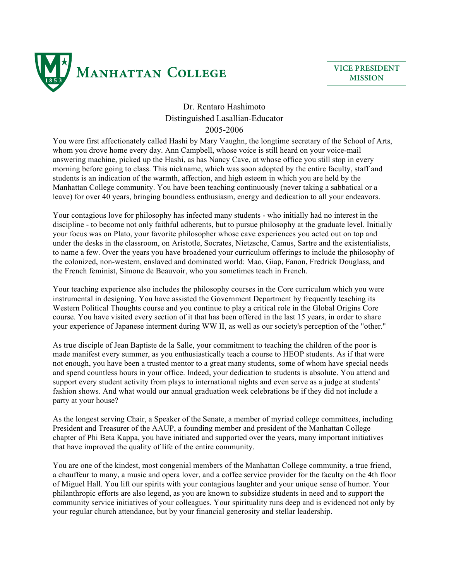

## Dr. Rentaro Hashimoto Distinguished Lasallian-Educator 2005-2006

You were first affectionately called Hashi by Mary Vaughn, the longtime secretary of the School of Arts, whom you drove home every day. Ann Campbell, whose voice is still heard on your voice-mail answering machine, picked up the Hashi, as has Nancy Cave, at whose office you still stop in every morning before going to class. This nickname, which was soon adopted by the entire faculty, staff and students is an indication of the warmth, affection, and high esteem in which you are held by the Manhattan College community. You have been teaching continuously (never taking a sabbatical or a leave) for over 40 years, bringing boundless enthusiasm, energy and dedication to all your endeavors.

Your contagious love for philosophy has infected many students - who initially had no interest in the discipline - to become not only faithful adherents, but to pursue philosophy at the graduate level. Initially your focus was on Plato, your favorite philosopher whose cave experiences you acted out on top and under the desks in the classroom, on Aristotle, Socrates, Nietzsche, Camus, Sartre and the existentialists, to name a few. Over the years you have broadened your curriculum offerings to include the philosophy of the colonized, non-western, enslaved and dominated world: Mao, Giap, Fanon, Fredrick Douglass, and the French feminist, Simone de Beauvoir, who you sometimes teach in French.

Your teaching experience also includes the philosophy courses in the Core curriculum which you were instrumental in designing. You have assisted the Government Department by frequently teaching its Western Political Thoughts course and you continue to play a critical role in the Global Origins Core course. You have visited every section of it that has been offered in the last 15 years, in order to share your experience of Japanese interment during WW II, as well as our society's perception of the "other."

As true disciple of Jean Baptiste de la Salle, your commitment to teaching the children of the poor is made manifest every summer, as you enthusiastically teach a course to HEOP students. As if that were not enough, you have been a trusted mentor to a great many students, some of whom have special needs and spend countless hours in your office. Indeed, your dedication to students is absolute. You attend and support every student activity from plays to international nights and even serve as a judge at students' fashion shows. And what would our annual graduation week celebrations be if they did not include a party at your house?

As the longest serving Chair, a Speaker of the Senate, a member of myriad college committees, including President and Treasurer of the AAUP, a founding member and president of the Manhattan College chapter of Phi Beta Kappa, you have initiated and supported over the years, many important initiatives that have improved the quality of life of the entire community.

You are one of the kindest, most congenial members of the Manhattan College community, a true friend, a chauffeur to many, a music and opera lover, and a coffee service provider for the faculty on the 4th floor of Miguel Hall. You lift our spirits with your contagious laughter and your unique sense of humor. Your philanthropic efforts are also legend, as you are known to subsidize students in need and to support the community service initiatives of your colleagues. Your spirituality runs deep and is evidenced not only by your regular church attendance, but by your financial generosity and stellar leadership.